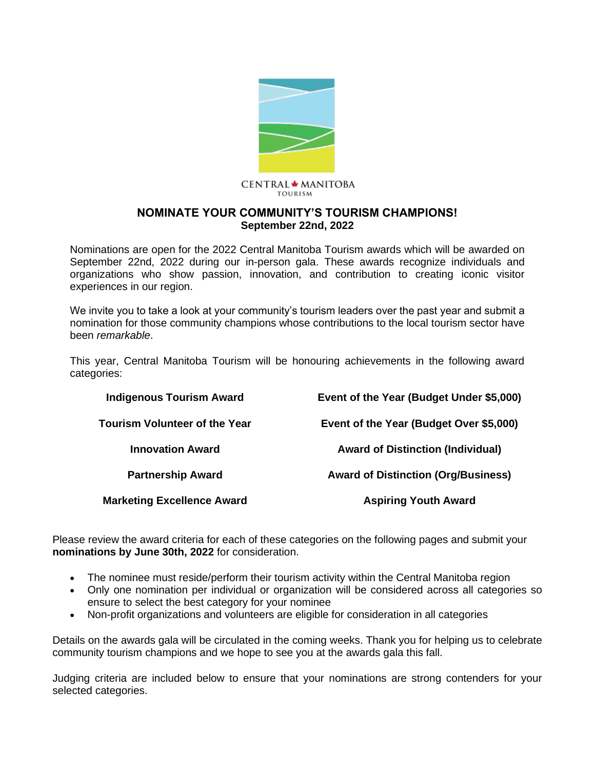

#### CENTRAL ★ MANITOBA **TOURISM**

#### **NOMINATE YOUR COMMUNITY'S TOURISM CHAMPIONS! September 22nd, 2022**

Nominations are open for the 2022 Central Manitoba Tourism awards which will be awarded on September 22nd, 2022 during our in-person gala. These awards recognize individuals and organizations who show passion, innovation, and contribution to creating iconic visitor experiences in our region.

We invite you to take a look at your community's tourism leaders over the past year and submit a nomination for those community champions whose contributions to the local tourism sector have been *remarkable*.

This year, Central Manitoba Tourism will be honouring achievements in the following award categories:

| <b>Indigenous Tourism Award</b>      | Event of the Year (Budget Under \$5,000)   |  |  |
|--------------------------------------|--------------------------------------------|--|--|
| <b>Tourism Volunteer of the Year</b> | Event of the Year (Budget Over \$5,000)    |  |  |
| <b>Innovation Award</b>              | <b>Award of Distinction (Individual)</b>   |  |  |
| <b>Partnership Award</b>             | <b>Award of Distinction (Org/Business)</b> |  |  |
| <b>Marketing Excellence Award</b>    | <b>Aspiring Youth Award</b>                |  |  |

Please review the award criteria for each of these categories on the following pages and submit your **nominations by June 30th, 2022** for consideration.

- The nominee must reside/perform their tourism activity within the Central Manitoba region
- Only one nomination per individual or organization will be considered across all categories so ensure to select the best category for your nominee
- Non-profit organizations and volunteers are eligible for consideration in all categories

Details on the awards gala will be circulated in the coming weeks. Thank you for helping us to celebrate community tourism champions and we hope to see you at the awards gala this fall.

Judging criteria are included below to ensure that your nominations are strong contenders for your selected categories.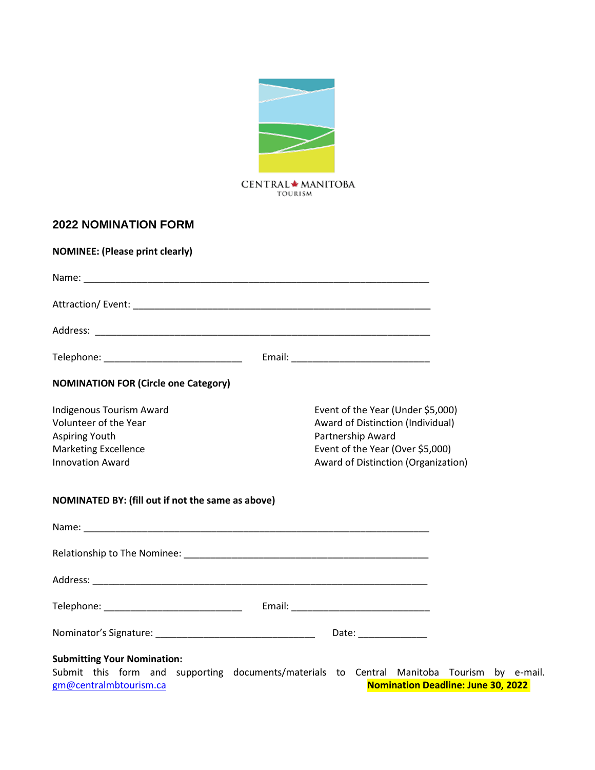

#### **2022 NOMINATION FORM**

| <b>NOMINEE: (Please print clearly)</b>                                                                                                                                                                  |                                                                                                                                                                        |  |
|---------------------------------------------------------------------------------------------------------------------------------------------------------------------------------------------------------|------------------------------------------------------------------------------------------------------------------------------------------------------------------------|--|
|                                                                                                                                                                                                         |                                                                                                                                                                        |  |
|                                                                                                                                                                                                         |                                                                                                                                                                        |  |
|                                                                                                                                                                                                         |                                                                                                                                                                        |  |
| Telephone: _______________________________                                                                                                                                                              |                                                                                                                                                                        |  |
| <b>NOMINATION FOR (Circle one Category)</b>                                                                                                                                                             |                                                                                                                                                                        |  |
| Indigenous Tourism Award<br>Volunteer of the Year<br><b>Aspiring Youth</b><br><b>Marketing Excellence</b><br><b>Innovation Award</b>                                                                    | Event of the Year (Under \$5,000)<br>Award of Distinction (Individual)<br>Partnership Award<br>Event of the Year (Over \$5,000)<br>Award of Distinction (Organization) |  |
| NOMINATED BY: (fill out if not the same as above)                                                                                                                                                       |                                                                                                                                                                        |  |
|                                                                                                                                                                                                         |                                                                                                                                                                        |  |
|                                                                                                                                                                                                         |                                                                                                                                                                        |  |
|                                                                                                                                                                                                         |                                                                                                                                                                        |  |
|                                                                                                                                                                                                         |                                                                                                                                                                        |  |
|                                                                                                                                                                                                         | Date: ______________                                                                                                                                                   |  |
| <b>Submitting Your Nomination:</b><br>Submit this form and supporting documents/materials to Central Manitoba Tourism by e-mail.<br><b>Nomination Deadline: June 30, 2022</b><br>gm@centralmbtourism.ca |                                                                                                                                                                        |  |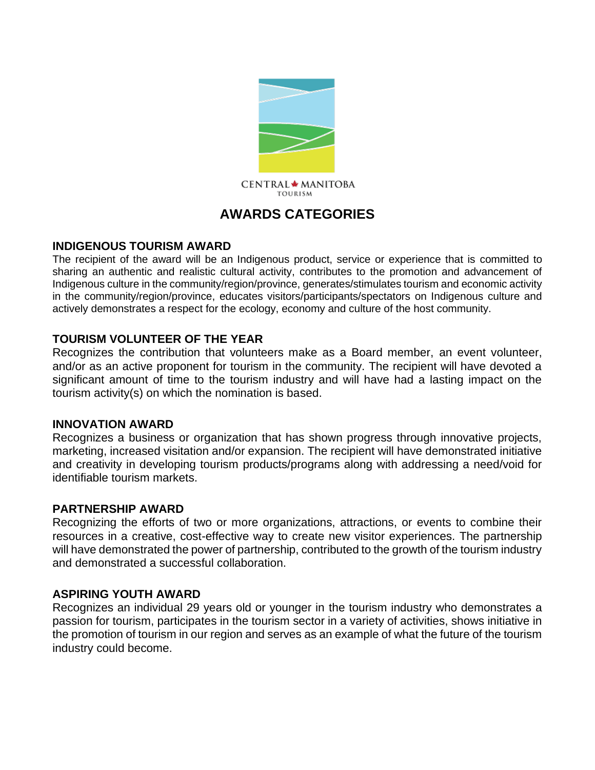

# **AWARDS CATEGORIES**

#### **INDIGENOUS TOURISM AWARD**

The recipient of the award will be an Indigenous product, service or experience that is committed to sharing an authentic and realistic cultural activity, contributes to the promotion and advancement of Indigenous culture in the community/region/province, generates/stimulates tourism and economic activity in the community/region/province, educates visitors/participants/spectators on Indigenous culture and actively demonstrates a respect for the ecology, economy and culture of the host community.

## **TOURISM VOLUNTEER OF THE YEAR**

Recognizes the contribution that volunteers make as a Board member, an event volunteer, and/or as an active proponent for tourism in the community. The recipient will have devoted a significant amount of time to the tourism industry and will have had a lasting impact on the tourism activity(s) on which the nomination is based.

## **INNOVATION AWARD**

Recognizes a business or organization that has shown progress through innovative projects, marketing, increased visitation and/or expansion. The recipient will have demonstrated initiative and creativity in developing tourism products/programs along with addressing a need/void for identifiable tourism markets.

## **PARTNERSHIP AWARD**

Recognizing the efforts of two or more organizations, attractions, or events to combine their resources in a creative, cost-effective way to create new visitor experiences. The partnership will have demonstrated the power of partnership, contributed to the growth of the tourism industry and demonstrated a successful collaboration.

## **ASPIRING YOUTH AWARD**

Recognizes an individual 29 years old or younger in the tourism industry who demonstrates a passion for tourism, participates in the tourism sector in a variety of activities, shows initiative in the promotion of tourism in our region and serves as an example of what the future of the tourism industry could become.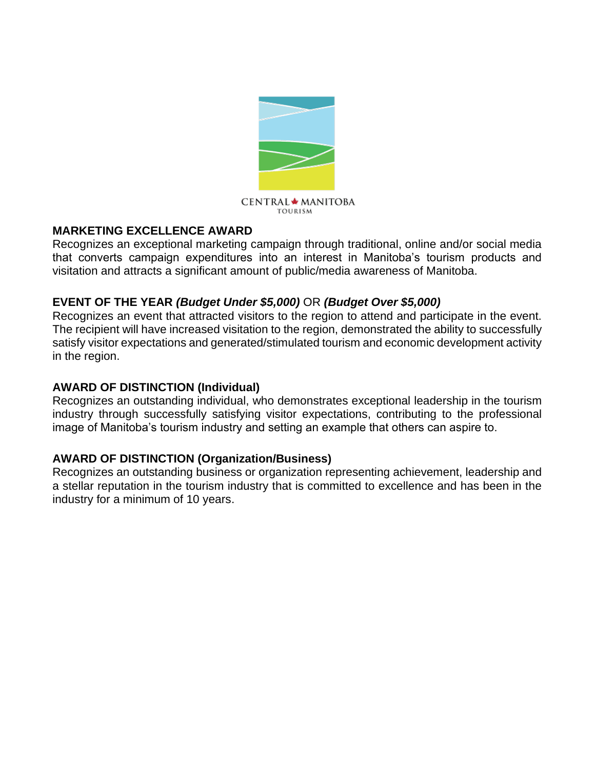

#### **MARKETING EXCELLENCE AWARD**

Recognizes an exceptional marketing campaign through traditional, online and/or social media that converts campaign expenditures into an interest in Manitoba's tourism products and visitation and attracts a significant amount of public/media awareness of Manitoba.

#### **EVENT OF THE YEAR** *(Budget Under \$5,000)* OR *(Budget Over \$5,000)*

Recognizes an event that attracted visitors to the region to attend and participate in the event. The recipient will have increased visitation to the region, demonstrated the ability to successfully satisfy visitor expectations and generated/stimulated tourism and economic development activity in the region.

#### **AWARD OF DISTINCTION (Individual)**

Recognizes an outstanding individual, who demonstrates exceptional leadership in the tourism industry through successfully satisfying visitor expectations, contributing to the professional image of Manitoba's tourism industry and setting an example that others can aspire to.

## **AWARD OF DISTINCTION (Organization/Business)**

Recognizes an outstanding business or organization representing achievement, leadership and a stellar reputation in the tourism industry that is committed to excellence and has been in the industry for a minimum of 10 years.